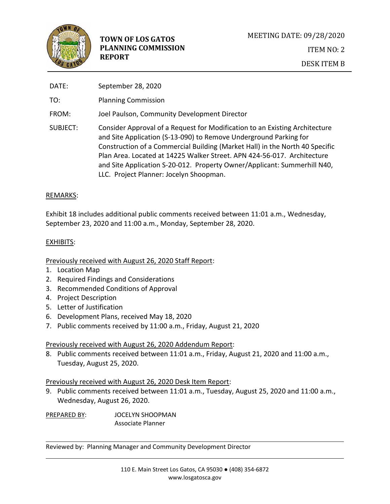

| DATE:    | September 28, 2020                                                                                                                                                                                                                                                                                                                                                                                                                 |
|----------|------------------------------------------------------------------------------------------------------------------------------------------------------------------------------------------------------------------------------------------------------------------------------------------------------------------------------------------------------------------------------------------------------------------------------------|
| TO:      | <b>Planning Commission</b>                                                                                                                                                                                                                                                                                                                                                                                                         |
| FROM:    | Joel Paulson, Community Development Director                                                                                                                                                                                                                                                                                                                                                                                       |
| SUBJECT: | Consider Approval of a Request for Modification to an Existing Architecture<br>and Site Application (S-13-090) to Remove Underground Parking for<br>Construction of a Commercial Building (Market Hall) in the North 40 Specific<br>Plan Area. Located at 14225 Walker Street. APN 424-56-017. Architecture<br>and Site Application S-20-012. Property Owner/Applicant: Summerhill N40,<br>LLC. Project Planner: Jocelyn Shoopman. |

## REMARKS:

Exhibit 18 includes additional public comments received between 11:01 a.m., Wednesday, September 23, 2020 and 11:00 a.m., Monday, September 28, 2020.

## EXHIBITS:

# Previously received with August 26, 2020 Staff Report:

- 1. Location Map
- 2. Required Findings and Considerations
- 3. Recommended Conditions of Approval
- 4. Project Description
- 5. Letter of Justification
- 6. Development Plans, received May 18, 2020
- 7. Public comments received by 11:00 a.m., Friday, August 21, 2020

# Previously received with August 26, 2020 Addendum Report:

8. Public comments received between 11:01 a.m., Friday, August 21, 2020 and 11:00 a.m., Tuesday, August 25, 2020.

#### Previously received with August 26, 2020 Desk Item Report:

9. Public comments received between 11:01 a.m., Tuesday, August 25, 2020 and 11:00 a.m., Wednesday, August 26, 2020.

PREPARED BY: JOCELYN SHOOPMAN Associate Planner

Reviewed by: Planning Manager and Community Development Director